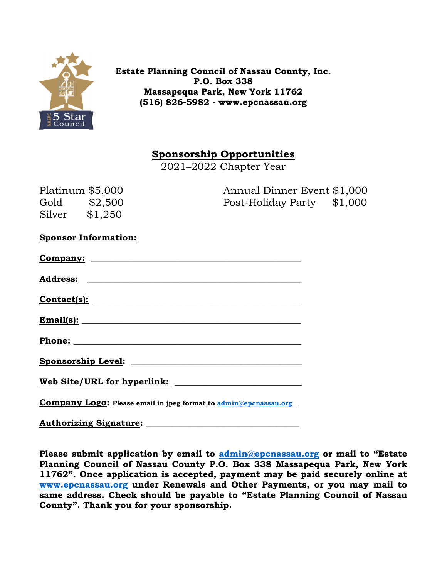

**Estate Planning Council of Nassau County, Inc. P.O. Box 338 Massapequa Park, New York 11762 (516) 826-5982 - www.epcnassau.org** 

**Sponsorship Opportunities** 

2021–2022 Chapter Year

| Platinum $$5,000$ |         | Annual Dinner Event \$1,000 |  |
|-------------------|---------|-----------------------------|--|
| Gold              | \$2,500 | Post-Holiday Party \$1,000  |  |
| Silver            | \$1,250 |                             |  |

|  | <b>Sponsor Information:</b> |
|--|-----------------------------|
|--|-----------------------------|

| $\text{Constant(s):}$                                                   |
|-------------------------------------------------------------------------|
| <b>Email(s):</b>                                                        |
|                                                                         |
|                                                                         |
| Web Site/URL for hyperlink:                                             |
| <b>Company Logo: Please email in jpeg format to admin@epcnassau.org</b> |

**Authorizing Signature: \_\_\_\_\_\_\_\_\_\_\_\_\_\_\_\_\_\_\_\_\_\_\_\_\_\_\_\_\_\_\_\_\_\_\_** 

**Please submit application by email to admin@epcnassau.org or mail to "Estate Planning Council of Nassau County P.O. Box 338 Massapequa Park, New York 11762". Once application is accepted, payment may be paid securely online at www.epcnassau.org under Renewals and Other Payments, or you may mail to same address. Check should be payable to "Estate Planning Council of Nassau County". Thank you for your sponsorship.**